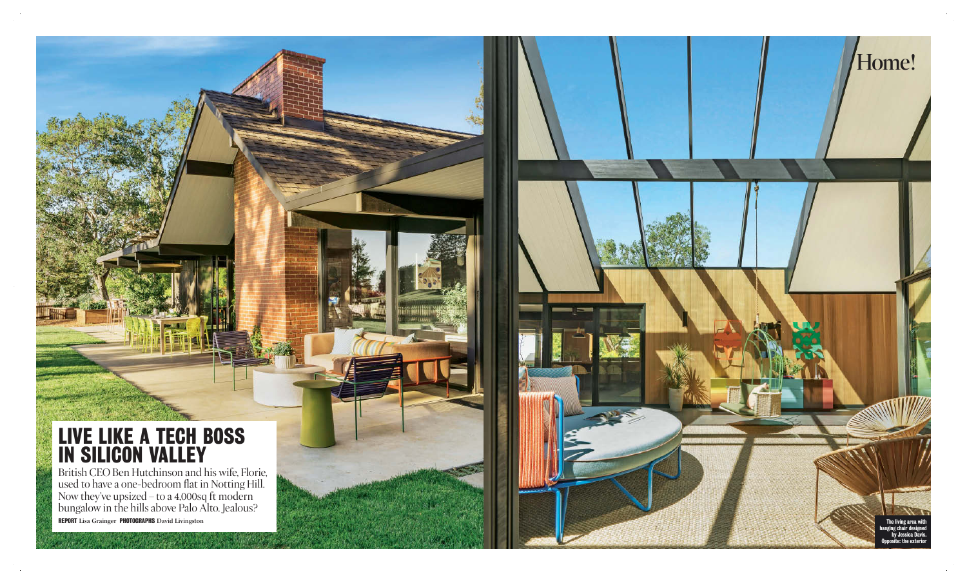**52** 

The Times M

a

## **live like a tech boss in silicon valley**

British CEO Ben Hut chinson and his wife, Florie, used to have a one-bedroom flat in Notting Hill. Now they've upsized – to a 4,000sq ft modern bungalow in the hills ab ove Palo Alt o. J ealous? **report** Lisa Grainger **pho tographs** D avid Livingston

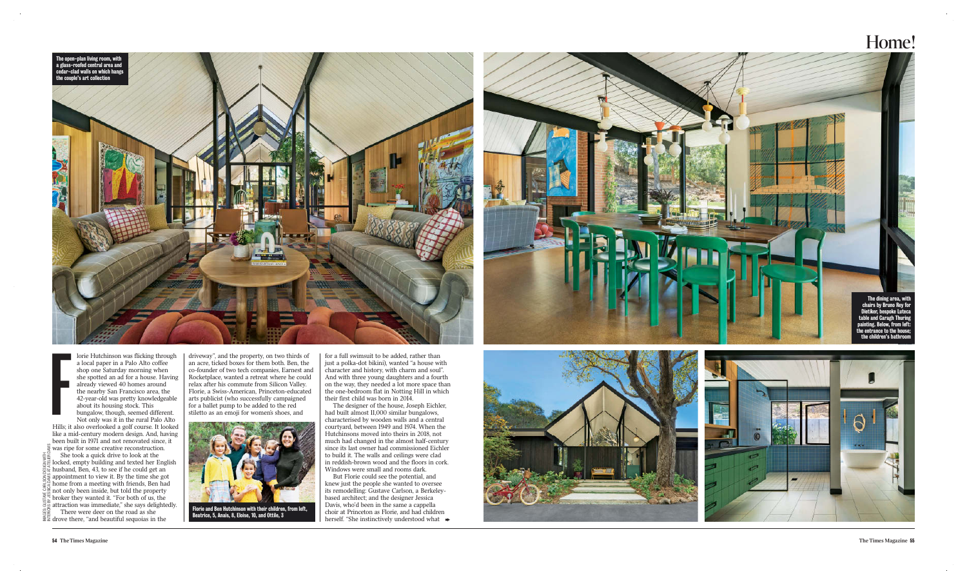lorie Hutchinson was flicking through a local paper in a Palo Alto coffee shop one Saturday morning when she spotted an ad for a house. Having already view ed 40 homes around the nearby San Francisco area, the 42-year - old was pret ty knowl edgeable about its housing s tock. This bun galow, though, seemed different.

Not only was it in the rural Palo Alto Hills; it also o verloo k ed a g olf course. It loo k ed like a mid-century modern d esign. And, havin g been built in 19 71 and not reno vat ed since, it

driveway", and the property, on two thirds of an a cre, tick ed bo x es for them both. Ben, the co-founder of t wo tech companies, Earne st and Rocketplace, want ed a retreat where he could relax after his commute from Silicon Valley. Florie, a Swiss-American, Princeton-educat ed arts publicist (who successfully campaigned for a ballet pump to be ad d ed to the red stilet to as an emoji for women's shoes, and



for a full swimsuit to be added, rather than just a polk a - dot bikini), want ed "a house with character and history, with charm and soul". And with three young daughters and a fourth on the w ay, they nee d ed a lot more space than the one -bedroom flat in Not ting Hill in which their first child was born in 2014.

**Florie and Ben Hutchinson with their children, from left,** Beatrice, 5, Anais, 8, Eloise, 10, and Ottile, 3

was ripe for some creative reconstruction. She took a quick drive to look at the locked, empty building and texted her English husband, Ben, 43, to see if he could get an appointment to view it. By the time she got  $\sum_{k=1}^{5}$  home from a meeting with friends, Ben had not only been inside, but t old the proper ty br o ker they want ed it. "For both of us, the attra ction was immediate," she says delight edly. There were deer on the road as she dr o ve there, "and beautiful sequoias in the InterIors by JessICa DavIs at atelIer DavIs

The d esigner of the house, Joseph Eichler, had built almost 11,000 similar bun galows, chara c terised by wooden w alls and a central cour t yard, bet ween 1949 and 1 9 74. When the Hutchinsons mo v ed into theirs in 2018, not much had changed in the almost half-century<br>since its last owner had commissioned Eichler to build it. The walls and ceilings were clad in re ddish-brown wood and the floors in cork. Windows were small and rooms dark.

But Florie could see the potential, and knew just the people she wanted to oversee its remodelling: Gustave Carlson, a Berkeley based architect; and the d esigner J essica D avis, who'd been in the same a cappella choir at Princeton as Florie, and had children herself. " She instinctively unders tood what



## Home!





Images: gustave Carlson DesIgn wIth